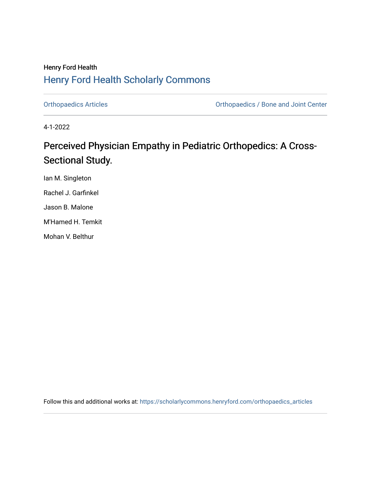# Henry Ford Health [Henry Ford Health Scholarly Commons](https://scholarlycommons.henryford.com/)

[Orthopaedics Articles](https://scholarlycommons.henryford.com/orthopaedics_articles) [Orthopaedics / Bone and Joint Center](https://scholarlycommons.henryford.com/orthopaedics) 

4-1-2022

# Perceived Physician Empathy in Pediatric Orthopedics: A Cross-Sectional Study.

Ian M. Singleton Rachel J. Garfinkel Jason B. Malone M'Hamed H. Temkit Mohan V. Belthur

Follow this and additional works at: [https://scholarlycommons.henryford.com/orthopaedics\\_articles](https://scholarlycommons.henryford.com/orthopaedics_articles?utm_source=scholarlycommons.henryford.com%2Forthopaedics_articles%2F398&utm_medium=PDF&utm_campaign=PDFCoverPages)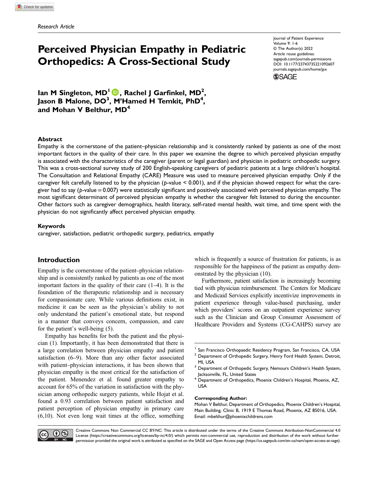# Perceived Physician Empathy in Pediatric Orthopedics: A Cross-Sectional Study

Journal of Patient Experience Volume 9: 1-6 © The Author(s) 2022 Article reuse guidelines: [sagepub.com/journals-permissions](https://us.sagepub.com/en-us/journals-permissions) DOI: 10.1177/23743735221092607 [journals.sagepub.com/home/jpx](https://journals.sagepub.com/home/jpx)**SSAGE** 

lan M Singleton, MD<sup>I</sup> (D, Rachel J Garfinkel, MD<sup>2</sup>, Jason B Malone, DO<sup>3</sup>, M'Hamed H Temkit, PhD<sup>4</sup>, and Mohan V Belthur, MD<sup>4</sup>

## Abstract

Empathy is the cornerstone of the patient–physician relationship and is consistently ranked by patients as one of the most important factors in the quality of their care. In this paper we examine the degree to which perceived physician empathy is associated with the characteristics of the caregiver (parent or legal guardian) and physician in pediatric orthopedic surgery. This was a cross-sectional survey study of 200 English-speaking caregivers of pediatric patients at a large children's hospital. The Consultation and Relational Empathy (CARE) Measure was used to measure perceived physician empathy. Only if the caregiver felt carefully listened to by the physician (p-value < 0.001), and if the physician showed respect for what the caregiver had to say (p-value =0.007) were statistically significant and positively associated with perceived physician empathy. The most significant determinant of perceived physician empathy is whether the caregiver felt listened to during the encounter. Other factors such as caregiver demographics, health literacy, self-rated mental health, wait time, and time spent with the physician do not significantly affect perceived physician empathy.

#### Keywords

caregiver, satisfaction, pediatric orthopedic surgery, pediatrics, empathy

## Introduction

Empathy is the cornerstone of the patient–physician relationship and is consistently ranked by patients as one of the most important factors in the quality of their care (1–4). It is the foundation of the therapeutic relationship and is necessary for compassionate care. While various definitions exist, in medicine it can be seen as the physician's ability to not only understand the patient's emotional state, but respond in a manner that conveys concern, compassion, and care for the patient's well-being (5).

Empathy has benefits for both the patient and the physician (1). Importantly, it has been demonstrated that there is a large correlation between physician empathy and patient satisfaction (6–9). More than any other factor associated with patient–physician interactions, it has been shown that physician empathy is the most critical for the satisfaction of the patient. Menendez et al. found greater empathy to account for 65% of the variation in satisfaction with the physician among orthopedic surgery patients, while Hojat et al. found a 0.93 correlation between patient satisfaction and patient perception of physician empathy in primary care (6,10). Not even long wait times at the office, something

which is frequently a source of frustration for patients, is as responsible for the happiness of the patient as empathy demonstrated by the physician (10).

Furthermore, patient satisfaction is increasingly becoming tied with physician reimbursement. The Centers for Medicare and Medicaid Services explicitly incentivize improvements in patient experience through value-based purchasing, under which providers' scores on an outpatient experience survey such as the Clinician and Group Consumer Assessment of Healthcare Providers and Systems (CG-CAHPS) survey are

#### Corresponding Author:

Mohan V Belthur, Department of Orthopedics, Phoenix Children's Hospital, Main Building, Clinic B, 1919 E Thomas Road, Phoenix, AZ 85016, USA. Email: [mbelthur@phoenixchildrens.com](mailto:mbelthur@phoenixchildrens.com)



Creative Commons Non Commercial CC BY-NC: This article is distributed under the terms of the Creative Commons Attribution-NonCommercial 4.0 License [\(https://creativecommons.org/licenses/by-nc/4.0/\) which permits non-commercial use, reproduction and distribution of the work without further](https://creativecommons.org/licenses/by-nc/4.0/) permission provided the original work is attributed as specifi[ed on the SAGE and Open Access page \(https://us.sagepub.com/en-us/nam/open-access-at-sage\).](https://us.sagepub.com/en-us/nam/open-access-at-sage)

<sup>&</sup>lt;sup>1</sup> San Francisco Orthopaedic Residency Program, San Francisco, CA, USA

<sup>&</sup>lt;sup>2</sup> Department of Orthopedic Surgery, Henry Ford Health System, Detroit, MI, USA

<sup>&</sup>lt;sup>3</sup> Department of Orthopedic Surgery, Nemours Children's Health System, Jacksonville, FL, United States

<sup>&</sup>lt;sup>4</sup> Department of Orthopedics, Phoenix Children's Hospital, Phoenix, AZ, USA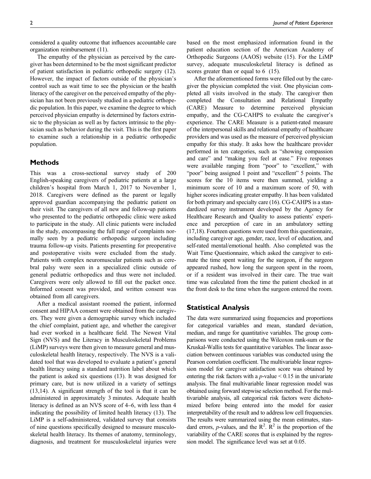considered a quality outcome that influences accountable care organization reimbursement (11).

The empathy of the physician as perceived by the caregiver has been determined to be the most significant predictor of patient satisfaction in pediatric orthopedic surgery (12). However, the impact of factors outside of the physician's control such as wait time to see the physician or the health literacy of the caregiver on the perceived empathy of the physician has not been previously studied in a pediatric orthopedic population. In this paper, we examine the degree to which perceived physician empathy is determined by factors extrinsic to the physician as well as by factors intrinsic to the physician such as behavior during the visit. This is the first paper to examine such a relationship in a pediatric orthopedic population.

# Methods

This was a cross-sectional survey study of 200 English-speaking caregivers of pediatric patients at a large children's hospital from March 1, 2017 to November 1, 2018. Caregivers were defined as the parent or legally approved guardian accompanying the pediatric patient on their visit. The caregivers of all new and follow-up patients who presented to the pediatric orthopedic clinic were asked to participate in the study. All clinic patients were included in the study, encompassing the full range of complaints normally seen by a pediatric orthopedic surgeon including trauma follow-up visits. Patients presenting for preoperative and postoperative visits were excluded from the study. Patients with complex neuromuscular patients such as cerebral palsy were seen in a specialized clinic outside of general pediatric orthopedics and thus were not included. Caregivers were only allowed to fill out the packet once. Informed consent was provided, and written consent was obtained from all caregivers.

After a medical assistant roomed the patient, informed consent and HIPAA consent were obtained from the caregivers. They were given a demographic survey which included the chief complaint, patient age, and whether the caregiver had ever worked in a healthcare field. The Newest Vital Sign (NVS) and the Literacy in Musculoskeletal Problems (LiMP) surveys were then given to measure general and musculoskeletal health literacy, respectively. The NVS is a validated tool that was developed to evaluate a patient's general health literacy using a standard nutrition label about which the patient is asked six questions (13). It was designed for primary care, but is now utilized in a variety of settings (13,14). A significant strength of the tool is that it can be administered in approximately 3 minutes. Adequate health literacy is defined as an NVS score of 4–6, with less than 4 indicating the possibility of limited health literacy (13). The LiMP is a self-administered, validated survey that consists of nine questions specifically designed to measure musculoskeletal health literacy. Its themes of anatomy, terminology, diagnosis, and treatment for musculoskeletal injuries were based on the most emphasized information found in the patient education section of the American Academy of Orthopedic Surgeons (AAOS) website (15). For the LiMP survey, adequate musculoskeletal literacy is defined as scores greater than or equal to 6 (15).

After the aforementioned forms were filled out by the caregiver the physician completed the visit. One physician completed all visits involved in the study. The caregiver then completed the Consultation and Relational Empathy (CARE) Measure to determine perceived physician empathy, and the CG-CAHPS to evaluate the caregiver's experience. The CARE Measure is a patient-rated measure of the interpersonal skills and relational empathy of healthcare providers and was used as the measure of perceived physician empathy for this study. It asks how the healthcare provider performed in ten categories, such as "showing compassion and care" and "making you feel at ease." Five responses were available ranging from "poor" to "excellent," with "poor" being assigned 1 point and "excellent" 5 points. The scores for the 10 items were then summed, yielding a minimum score of 10 and a maximum score of 50, with higher scores indicating greater empathy. It has been validated for both primary and specialty care (16). CG-CAHPS is a standardized survey instrument developed by the Agency for Healthcare Research and Quality to assess patients' experience and perception of care in an ambulatory setting (17,18). Fourteen questions were used from this questionnaire, including caregiver age, gender, race, level of education, and self-rated mental/emotional health. Also completed was the Wait Time Questionnaire, which asked the caregiver to estimate the time spent waiting for the surgeon, if the surgeon appeared rushed, how long the surgeon spent in the room, or if a resident was involved in their care. The true wait time was calculated from the time the patient checked in at the front desk to the time when the surgeon entered the room.

## Statistical Analysis

The data were summarized using frequencies and proportions for categorical variables and mean, standard deviation, median, and range for quantitative variables. The group comparisons were conducted using the Wilcoxon rank-sum or the Kruskal-Wallis tests for quantitative variables. The linear association between continuous variables was conducted using the Pearson correlation coefficient. The multivariable linear regression model for caregiver satisfaction score was obtained by entering the risk factors with a  $p$ -value  $\leq 0.15$  in the univariate analysis. The final multivariable linear regression model was obtained using forward stepwise selection method. For the multivariable analysis, all categorical risk factors were dichotomized before being entered into the model for easier interpretability of the result and to address low cell frequencies. The results were summarized using the mean estimates, standard errors, *p*-values, and the  $\mathbb{R}^2$ .  $\mathbb{R}^2$  is the proportion of the variability of the CARE scores that is explained by the regression model. The significance level was set at 0.05.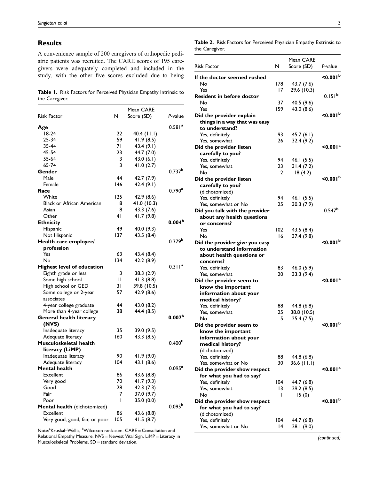# Results

A convenience sample of 200 caregivers of orthopedic pediatric patients was recruited. The CARE scores of 195 caregivers were adequately completed and included in the study, with the other five scores excluded due to being

Table 1. Risk Factors for Perceived Physician Empathy Intrinsic to the Caregiver.

|                                   |              | Mean CARE   |                    |
|-----------------------------------|--------------|-------------|--------------------|
| <b>Risk Factor</b>                | N            | Score (SD)  | P-value            |
| Age                               |              |             | 0.581 <sup>a</sup> |
| $18-24$                           | 22           | 40.4 (11.1) |                    |
| 25-34                             | 59           | 41.9 (8.5)  |                    |
| 35-44                             | 71           | 43.4 (9.1)  |                    |
| 45-54                             | 23           | 44.7 (7.0)  |                    |
| 55-64                             | 3            | 43.0 (6.1)  |                    |
| 65-74                             | 3            | 41.0(2.7)   |                    |
| Gender                            |              |             | 0.737 <sup>b</sup> |
| Male                              | 44           | 42.7 (7.9)  |                    |
| Female                            | 146          | 42.4 (9.1)  |                    |
| Race                              |              |             | $0.790^{a}$        |
| White                             | 125          | 42.9 (8.6)  |                    |
| <b>Black or African American</b>  | 8            | 41.0 (10.3) |                    |
| Asian                             | 8            | 43.3 (7.6)  |                    |
| Other                             | 41           | 41.7 (9.8)  |                    |
| <b>Ethnicity</b>                  |              |             | 0.004 <sup>b</sup> |
| Hispanic                          | 49           | 40.0 (9.3)  |                    |
| Not Hispanic                      | 137          | 43.5 (8.4)  |                    |
| Health care employee/             |              |             | 0.379 <sup>b</sup> |
| profession                        |              |             |                    |
| Yes                               | 63           | 43.4 (8.4)  |                    |
| No                                | 134          | 42.2 (8.9)  |                    |
| <b>Highest level of education</b> |              |             | 0.311 <sup>a</sup> |
| Eighth grade or less              | 3            | 38.3 (2.9)  |                    |
| Some high school                  | $\mathbf{H}$ | 41.3(8.8)   |                    |
| High school or GED                | 31           | 39.8 (10.5) |                    |
| Some college or 2-year            | 57           | 42.9 (8.6)  |                    |
| associates                        |              |             |                    |
| 4-year college graduate           | 44           | 43.0 (8.2)  |                    |
| More than 4-year college          | 38           | 44.4 (8.5)  |                    |
| <b>General health literacy</b>    |              |             | 0.007 <sup>b</sup> |
| (NVS)                             |              |             |                    |
| Inadequate literacy               | 35           | 39.0 (9.5)  |                    |
| Adequate literacy                 | 160          | 43.3 (8.5)  |                    |
| Musculoskeletal health            |              |             | 0.400 <sup>b</sup> |
| literacy (LiMP)                   |              |             |                    |
| Inadequate literacy               | 90           | 41.9(9.0)   |                    |
| Adequate literacy                 | 104          | 43.1 (8.6)  |                    |
| Mental health                     |              |             | $0.095^{a}$        |
| Excellent                         | 86           | 43.6 (8.8)  |                    |
| Very good                         | 70           | 41.7 (9.3)  |                    |
| Good                              | 28           | 42.3 (7.3)  |                    |
| Fair                              | 7            | 37.0 (9.7)  |                    |
| Poor                              | I            | 35.0 (0.0)  |                    |
| Mental health (dichotomized)      |              |             | 0.095 <sup>b</sup> |
| Excellent                         | 86           | 43.6 (8.8)  |                    |
| Very good, good, fair, or poor    | 105          | 41.5 (8.7)  |                    |

Note:<sup>a</sup>Kruskal–Wallis, <sup>b</sup>Wilcoxon rank-sum. CARE = Consultation and Relational Empathy Measure, NVS = Newest Vital Sign, LiMP = Literacy in Musculoskeletal Problems, SD = standard deviation.

Table 2. Risk Factors for Perceived Physician Empathy Extrinsic to the Caregiver.

| <b>Risk Factor</b>             | N   | Mean CARE<br>Score (SD) | P-value                   |
|--------------------------------|-----|-------------------------|---------------------------|
| If the doctor seemed rushed    |     |                         | < 0.001 <sup>b</sup>      |
| No                             | 178 | 43.7 (7.6)              |                           |
| Yes                            | 17  | 29.6 (10.3)             |                           |
| Resident in before doctor      |     |                         | 0.151 <sup>b</sup>        |
| No                             | 37  | 40.5 (9.6)              |                           |
| Yes                            | 159 | 43.0 (8.6)              |                           |
| Did the provider explain       |     |                         | $\leq 0.001^{\mathrm{b}}$ |
| things in a way that was easy  |     |                         |                           |
| to understand?                 |     |                         |                           |
| Yes. definitely                | 93  | 45.7 (6.1)              |                           |
| Yes, somewhat                  | 26  | 32.4 (9.2)              |                           |
| Did the provider listen        |     |                         | < 0.001 <sup>a</sup>      |
| carefully to you?              |     |                         |                           |
| Yes, definitely                | 94  |                         |                           |
|                                | 23  | 46.1 (5.5)              |                           |
| Yes, somewhat                  |     | 31.4(7.2)               |                           |
| No                             | 2   | 18(4.2)                 | $\leq 0.001^{\mathrm{b}}$ |
| Did the provider listen        |     |                         |                           |
| carefully to you?              |     |                         |                           |
| (dichotomized)                 |     |                         |                           |
| Yes, definitely                | 94  | 46.1 (5.5)              |                           |
| Yes, somewhat or No            | 25  | 30.3(7.9)               |                           |
| Did you talk with the provider |     |                         | 0.547 <sup>b</sup>        |
| about any health questions     |     |                         |                           |
| or concerns?                   |     |                         |                           |
| Yes                            | 102 | 43.5 (8.4)              |                           |
| No                             | 16  | 37.4 (9.8)              |                           |
| Did the provider give you easy |     |                         | $<$ 0.001 $b$             |
| to understand information      |     |                         |                           |
| about health questions or      |     |                         |                           |
| concerns?                      |     |                         |                           |
| Yes, definitely                | 83  | 46.0 (5.9)              |                           |
| Yes, somewhat                  | 20  | 33.3 (9.4)              |                           |
| Did the provider seem to       |     |                         | $\leq$ 0.001 $^{\rm a}$   |
| know the important             |     |                         |                           |
| information about your         |     |                         |                           |
| medical history?               |     |                         |                           |
| Yes, definitely                | 88  | 44.8 (6.8)              |                           |
| Yes, somewhat                  | 25  | 38.8 (10.5)             |                           |
| No                             | 5   | 25.4(7.5)               |                           |
| Did the provider seem to       |     |                         | <0.001 <sup>b</sup>       |
| know the important             |     |                         |                           |
| information about your         |     |                         |                           |
| medical history?               |     |                         |                           |
| (dichotomized)                 |     |                         |                           |
| Yes, definitely                | 88  | 44.8 (6.8)              |                           |
| Yes, somewhat or No            | 30  | 36.6 (11.1)             |                           |
| Did the provider show respect  |     |                         | $\leq$ 0.001 $^{\rm a}$   |
| for what you had to say?       |     |                         |                           |
| Yes, definitely                | 104 | 44.7 (6.8)              |                           |
| Yes, somewhat                  | 13  | 29.2 (8.5)              |                           |
| No                             | ı   | 15(0)                   |                           |
| Did the provider show respect  |     |                         | < 0.001 <sup>b</sup>      |
| for what you had to say?       |     |                         |                           |
| (dichotomized)                 |     |                         |                           |
| Yes, definitely                | 104 | 44.7 (6.8)              |                           |
| Yes, somewhat or No            | 14  | 28.1 (9.0)              |                           |
|                                |     |                         |                           |

(continued)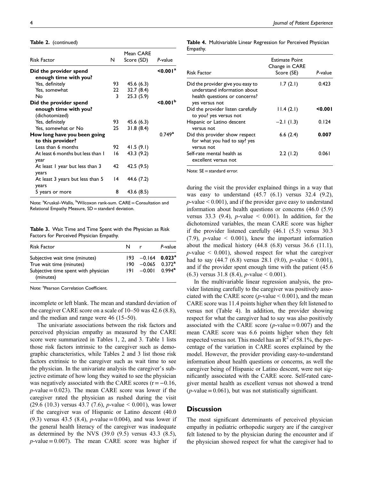Table 2. (continued)

| <b>Risk Factor</b>                | N   | Mean CARE<br>Score (SD) | P-value                 |
|-----------------------------------|-----|-------------------------|-------------------------|
| Did the provider spend            |     |                         | $\leq$ 0.001 $^{\rm a}$ |
| enough time with you?             |     |                         |                         |
| Yes, definitely                   | 93  | 45.6(6.3)               |                         |
| Yes, somewhat                     | 22  | 32.7(8.4)               |                         |
| Nο                                | 3   | 25.3(5.9)               |                         |
| Did the provider spend            |     |                         | < 0.001 <sup>b</sup>    |
| enough time with you?             |     |                         |                         |
| (dichotomized)                    |     |                         |                         |
| Yes, definitely                   | 93  | 45.6(6.3)               |                         |
| Yes, somewhat or No               | 25  | 31.8(8.4)               |                         |
| How long have you been going      |     |                         | $0.749^{\rm a}$         |
| to this provider?                 |     |                         |                         |
| Less than 6 months                |     | 41.5(9.1)               |                         |
| At least 6 months but less than 1 | 16. | 43.3 (9.2)              |                         |
| year                              |     |                         |                         |
| At least I year but less than 3   | 42  | 42.5 (9.5)              |                         |
| years                             |     |                         |                         |
| At least 3 years but less than 5  | 14  | 44.6 (7.2)              |                         |
| years                             |     |                         |                         |
| 5 years or more                   | 8   | 43.6 (8.5)              |                         |
|                                   |     |                         |                         |

Note: <sup>a</sup>Kruskal–Wallis, <sup>b</sup>Wilcoxon rank-sum. CARE=Consultation and Relational Empathy Measure, SD = standard deviation.

Table 3. Wait Time and Time Spent with the Physician as Risk Factors for Perceived Physician Empathy.

| <b>Risk Factor</b>                                | N    | r                               | P-value         |
|---------------------------------------------------|------|---------------------------------|-----------------|
| Subjective wait time (minutes)                    |      | $193 -0.164$ 0.023 <sup>a</sup> |                 |
| True wait time (minutes)                          | 190. | $-0.065$ 0.372 <sup>a</sup>     |                 |
| Subjective time spent with physician<br>(minutes) |      | $191 - 0.001$                   | $0.994^{\rm a}$ |

Note: <sup>a</sup>Pearson Correlation Coefficient.

incomplete or left blank. The mean and standard deviation of the caregiver CARE score on a scale of 10–50 was 42.6 (8.8), and the median and range were 46 (15–50).

The univariate associations between the risk factors and perceived physician empathy as measured by the CARE score were summarized in Tables 1, 2, and 3. Table 1 lists those risk factors intrinsic to the caregiver such as demographic characteristics, while Tables 2 and 3 list those risk factors extrinsic to the caregiver such as wait time to see the physician. In the univariate analysis the caregiver's subjective estimate of how long they waited to see the physician was negatively associated with the CARE scores  $(r=-0.16,$  $p$ -value = 0.023). The mean CARE score was lower if the caregiver rated the physician as rushed during the visit (29.6 (10.3) versus 43.7 (7.6), p-value < 0.001), was lower if the caregiver was of Hispanic or Latino descent (40.0 (9.3) versus 43.5 (8.4), *p*-value = 0.004), and was lower if the general health literacy of the caregiver was inadequate as determined by the NVS (39.0 (9.5) versus 43.3 (8.5),  $p$ -value = 0.007). The mean CARE score was higher if Table 4. Multivariable Linear Regression for Perceived Physician Empathy.

| <b>Risk Factor</b>                                                                                                   | <b>Estimate Point</b><br>Change in CARE<br>Score (SE) | P-value |
|----------------------------------------------------------------------------------------------------------------------|-------------------------------------------------------|---------|
| Did the provider give you easy to<br>understand information about<br>health questions or concerns?<br>yes versus not | 1.7(2.1)                                              | 0.423   |
| Did the provider listen carefully<br>to you? yes versus not                                                          | 11.4(2.1)                                             | < 0.001 |
| Hispanic or Latino descent<br>versus not                                                                             | $-2.1(1.3)$                                           | 0.124   |
| Did this provider show respect<br>for what you had to say? yes<br>versus not                                         | 6.6(2.4)                                              | 0.007   |
| Self-rate mental health as<br>excellent versus not                                                                   | 2.2(1.2)                                              | 0.061   |

Note: SE = standard error.

during the visit the provider explained things in a way that was easy to understand (45.7 (6.1) versus 32.4 (9.2),  $p$ -value  $< 0.001$ ), and if the provider gave easy to understand information about health questions or concerns (46.0 (5.9) versus 33.3 (9.4),  $p$ -value  $\leq$  0.001). In addition, for the dichotomized variables, the mean CARE score was higher if the provider listened carefully (46.1 (5.5) versus 30.3  $(7.9)$ , *p*-value  $\leq 0.001$ ), knew the important information about the medical history  $(44.8 \ (6.8)$  versus  $36.6 \ (11.1)$ ,  $p$ -value  $\leq$  0.001), showed respect for what the caregiver had to say  $(44.7 \ (6.8)$  versus 28.1  $(9.0)$ , *p*-value < 0.001), and if the provider spent enough time with the patient (45.6  $(6.3)$  versus 31.8  $(8.4)$ , *p*-value  $\leq 0.001$ ).

In the multivariable linear regression analysis, the provider listening carefully to the caregiver was positively associated with the CARE score ( $p$ -value  $< 0.001$ ), and the mean CARE score was 11.4 points higher when they felt listened to versus not (Table 4). In addition, the provider showing respect for what the caregiver had to say was also positively associated with the CARE score ( $p$ -value = 0.007) and the mean CARE score was 6.6 points higher when they felt respected versus not. This model has an  $R^2$  of 58.1%, the percentage of the variation in CARE scores explained by the model. However, the provider providing easy-to-understand information about health questions or concerns, as well the caregiver being of Hispanic or Latino descent, were not significantly associated with the CARE score. Self-rated caregiver mental health as excellent versus not showed a trend  $(p$ -value = 0.061), but was not statistically significant.

## **Discussion**

The most significant determinants of perceived physician empathy in pediatric orthopedic surgery are if the caregiver felt listened to by the physician during the encounter and if the physician showed respect for what the caregiver had to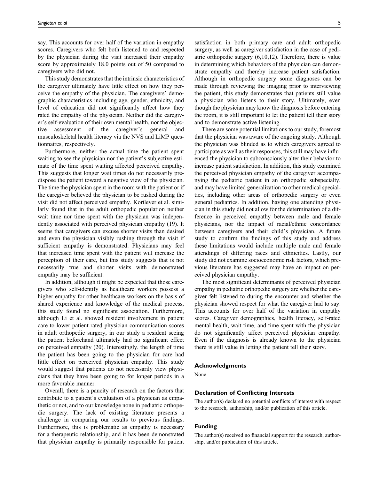say. This accounts for over half of the variation in empathy scores. Caregivers who felt both listened to and respected by the physician during the visit increased their empathy score by approximately 18.0 points out of 50 compared to caregivers who did not.

This study demonstrates that the intrinsic characteristics of the caregiver ultimately have little effect on how they perceive the empathy of the physician. The caregivers' demographic characteristics including age, gender, ethnicity, and level of education did not significantly affect how they rated the empathy of the physician. Neither did the caregiver's self-evaluation of their own mental health, nor the objective assessment of the caregiver's general and musculoskeletal health literacy via the NVS and LiMP questionnaires, respectively.

Furthermore, neither the actual time the patient spent waiting to see the physician nor the patient's subjective estimate of the time spent waiting affected perceived empathy. This suggests that longer wait times do not necessarily predispose the patient toward a negative view of the physician. The time the physician spent in the room with the patient or if the caregiver believed the physician to be rushed during the visit did not affect perceived empathy. Kortlever et al. similarly found that in the adult orthopedic population neither wait time nor time spent with the physician was independently associated with perceived physician empathy (19). It seems that caregivers can excuse shorter visits than desired and even the physician visibly rushing through the visit if sufficient empathy is demonstrated. Physicians may feel that increased time spent with the patient will increase the perception of their care, but this study suggests that is not necessarily true and shorter visits with demonstrated empathy may be sufficient.

In addition, although it might be expected that those caregivers who self-identify as healthcare workers possess a higher empathy for other healthcare workers on the basis of shared experience and knowledge of the medical process, this study found no significant association. Furthermore, although Li et al. showed resident involvement in patient care to lower patient-rated physician communication scores in adult orthopedic surgery, in our study a resident seeing the patient beforehand ultimately had no significant effect on perceived empathy (20). Interestingly, the length of time the patient has been going to the physician for care had little effect on perceived physician empathy. This study would suggest that patients do not necessarily view physicians that they have been going to for longer periods in a more favorable manner.

Overall, there is a paucity of research on the factors that contribute to a patient's evaluation of a physician as empathetic or not, and to our knowledge none in pediatric orthopedic surgery. The lack of existing literature presents a challenge in comparing our results to previous findings. Furthermore, this is problematic as empathy is necessary for a therapeutic relationship, and it has been demonstrated that physician empathy is primarily responsible for patient

satisfaction in both primary care and adult orthopedic surgery, as well as caregiver satisfaction in the case of pediatric orthopedic surgery (6,10,12). Therefore, there is value in determining which behaviors of the physician can demonstrate empathy and thereby increase patient satisfaction. Although in orthopedic surgery some diagnoses can be made through reviewing the imaging prior to interviewing the patient, this study demonstrates that patients still value a physician who listens to their story. Ultimately, even though the physician may know the diagnosis before entering the room, it is still important to let the patient tell their story and to demonstrate active listening.

There are some potential limitations to our study, foremost that the physician was aware of the ongoing study. Although the physician was blinded as to which caregivers agreed to participate as well as their responses, this still may have influenced the physician to subconsciously alter their behavior to increase patient satisfaction. In addition, this study examined the perceived physician empathy of the caregiver accompanying the pediatric patient in an orthopedic subspecialty, and may have limited generalization to other medical specialties, including other areas of orthopedic surgery or even general pediatrics. In addition, having one attending physician in this study did not allow for the determination of a difference in perceived empathy between male and female physicians, nor the impact of racial/ethnic concordance between caregivers and their child's physician. A future study to confirm the findings of this study and address these limitations would include multiple male and female attendings of differing races and ethnicities. Lastly, our study did not examine socioeconomic risk factors, which previous literature has suggested may have an impact on perceived physician empathy.

The most significant determinants of perceived physician empathy in pediatric orthopedic surgery are whether the caregiver felt listened to during the encounter and whether the physician showed respect for what the caregiver had to say. This accounts for over half of the variation in empathy scores. Caregiver demographics, health literacy, self-rated mental health, wait time, and time spent with the physician do not significantly affect perceived physician empathy. Even if the diagnosis is already known to the physician there is still value in letting the patient tell their story.

#### Acknowledgments

None

#### Declaration of Conflicting Interests

The author(s) declared no potential conflicts of interest with respect to the research, authorship, and/or publication of this article.

#### Funding

The author(s) received no financial support for the research, authorship, and/or publication of this article.